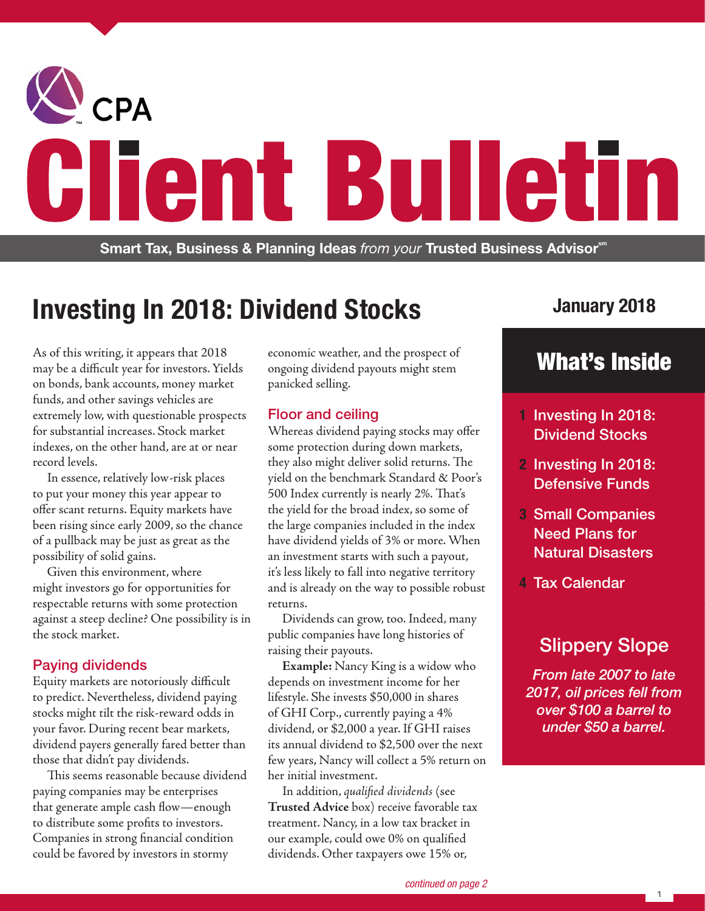

# **Investing In 2018: Dividend Stocks**

As of this writing, it appears that 2018 may be a difficult year for investors. Yields on bonds, bank accounts, money market funds, and other savings vehicles are extremely low, with questionable prospects for substantial increases. Stock market indexes, on the other hand, are at or near record levels.

In essence, relatively low-risk places to put your money this year appear to offer scant returns. Equity markets have been rising since early 2009, so the chance of a pullback may be just as great as the possibility of solid gains.

Given this environment, where might investors go for opportunities for respectable returns with some protection against a steep decline? One possibility is in the stock market.

## Paying dividends

Equity markets are notoriously difficult to predict. Nevertheless, dividend paying stocks might tilt the risk-reward odds in your favor. During recent bear markets, dividend payers generally fared better than those that didn't pay dividends.

This seems reasonable because dividend paying companies may be enterprises that generate ample cash flow—enough to distribute some profits to investors. Companies in strong financial condition could be favored by investors in stormy

economic weather, and the prospect of ongoing dividend payouts might stem panicked selling.

## Floor and ceiling

Whereas dividend paying stocks may offer some protection during down markets, they also might deliver solid returns. The yield on the benchmark Standard & Poor's 500 Index currently is nearly 2%. That's the yield for the broad index, so some of the large companies included in the index have dividend yields of 3% or more. When an investment starts with such a payout, it's less likely to fall into negative territory and is already on the way to possible robust returns.

Dividends can grow, too. Indeed, many public companies have long histories of raising their payouts.

**Example:** Nancy King is a widow who depends on investment income for her lifestyle. She invests \$50,000 in shares of GHI Corp., currently paying a 4% dividend, or \$2,000 a year. If GHI raises its annual dividend to \$2,500 over the next few years, Nancy will collect a 5% return on her initial investment.

In addition, *qualified dividends* (see **Trusted Advice** box) receive favorable tax treatment. Nancy, in a low tax bracket in our example, could owe 0% on qualified dividends. Other taxpayers owe 15% or,

# **January 2018**

# What's Inside

- **1** Investing In 2018: Dividend Stocks
- **2** Investing In 2018: Defensive Funds
- **3** Small Companies Need Plans for Natural Disasters
- **4** Tax Calendar

# Slippery Slope

*From late 2007 to late 2017, oil prices fell from over \$100 a barrel to under \$50 a barrel.*

1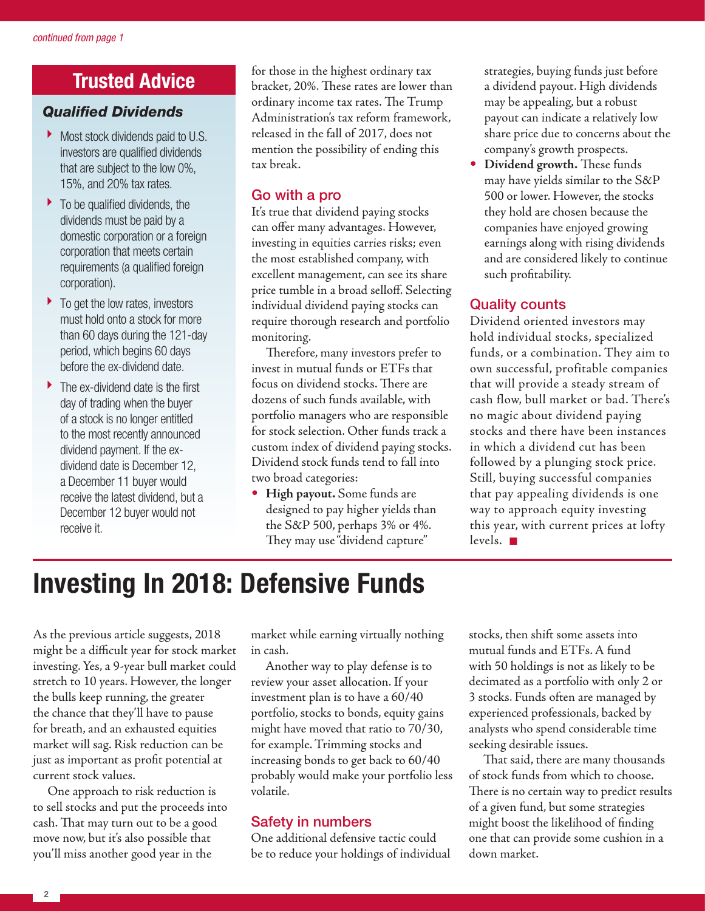# **Trusted Advice**

## *Qualified Dividends*

- Most stock dividends paid to U.S. investors are qualified dividends that are subject to the low 0%, 15%, and 20% tax rates.
- $\blacktriangleright$  To be qualified dividends, the dividends must be paid by a domestic corporation or a foreign corporation that meets certain requirements (a qualified foreign corporation).
- $\blacktriangleright$  To get the low rates, investors must hold onto a stock for more than 60 days during the 121-day period, which begins 60 days before the ex-dividend date.
- ▶ The ex-dividend date is the first day of trading when the buyer of a stock is no longer entitled to the most recently announced dividend payment. If the exdividend date is December 12, a December 11 buyer would receive the latest dividend, but a December 12 buyer would not receive it.

for those in the highest ordinary tax bracket, 20%. These rates are lower than ordinary income tax rates. The Trump Administration's tax reform framework, released in the fall of 2017, does not mention the possibility of ending this tax break.

## Go with a pro

It's true that dividend paying stocks can offer many advantages. However, investing in equities carries risks; even the most established company, with excellent management, can see its share price tumble in a broad selloff. Selecting individual dividend paying stocks can require thorough research and portfolio monitoring.

Therefore, many investors prefer to invest in mutual funds or ETFs that focus on dividend stocks. There are dozens of such funds available, with portfolio managers who are responsible for stock selection. Other funds track a custom index of dividend paying stocks. Dividend stock funds tend to fall into two broad categories:

• **High payout.** Some funds are designed to pay higher yields than the S&P 500, perhaps 3% or 4%. They may use "dividend capture"

strategies, buying funds just before a dividend payout. High dividends may be appealing, but a robust payout can indicate a relatively low share price due to concerns about the company's growth prospects.

• **Dividend growth.** These funds may have yields similar to the S&P 500 or lower. However, the stocks they hold are chosen because the companies have enjoyed growing earnings along with rising dividends and are considered likely to continue such profitability.

## Quality counts

Dividend oriented investors may hold individual stocks, specialized funds, or a combination. They aim to own successful, profitable companies that will provide a steady stream of cash flow, bull market or bad. There's no magic about dividend paying stocks and there have been instances in which a dividend cut has been followed by a plunging stock price. Still, buying successful companies that pay appealing dividends is one way to approach equity investing this year, with current prices at lofty levels.  $\blacksquare$ 

# **Investing In 2018: Defensive Funds**

As the previous article suggests, 2018 might be a difficult year for stock market investing. Yes, a 9-year bull market could stretch to 10 years. However, the longer the bulls keep running, the greater the chance that they'll have to pause for breath, and an exhausted equities market will sag. Risk reduction can be just as important as profit potential at current stock values.

One approach to risk reduction is to sell stocks and put the proceeds into cash. That may turn out to be a good move now, but it's also possible that you'll miss another good year in the

market while earning virtually nothing in cash.

Another way to play defense is to review your asset allocation. If your investment plan is to have a 60/40 portfolio, stocks to bonds, equity gains might have moved that ratio to 70/30, for example. Trimming stocks and increasing bonds to get back to 60/40 probably would make your portfolio less volatile.

## Safety in numbers

One additional defensive tactic could be to reduce your holdings of individual stocks, then shift some assets into mutual funds and ETFs. A fund with 50 holdings is not as likely to be decimated as a portfolio with only 2 or 3 stocks. Funds often are managed by experienced professionals, backed by analysts who spend considerable time seeking desirable issues.

That said, there are many thousands of stock funds from which to choose. There is no certain way to predict results of a given fund, but some strategies might boost the likelihood of finding one that can provide some cushion in a down market.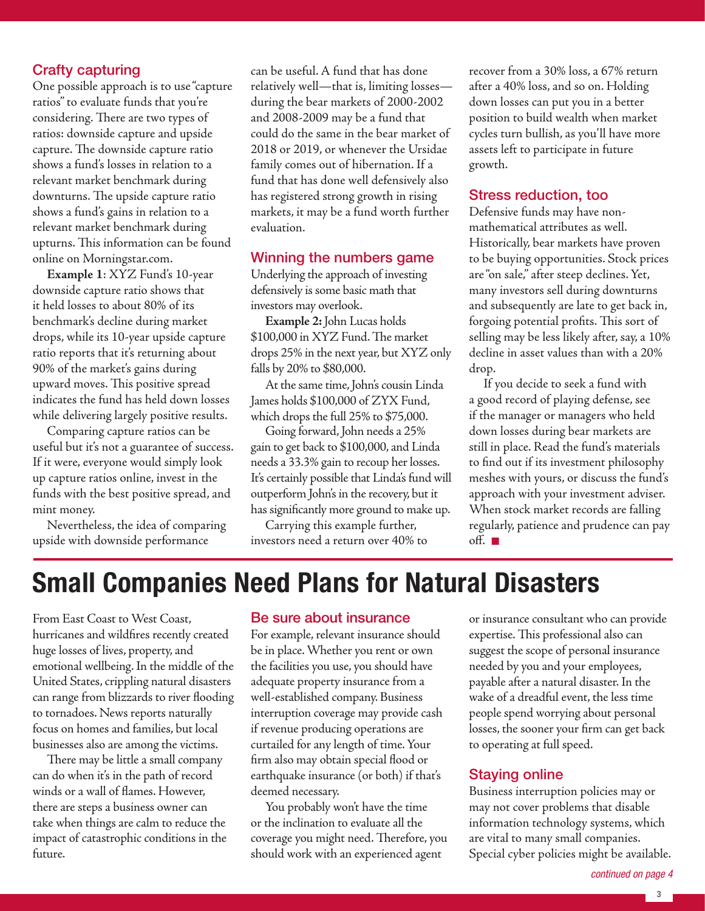## Crafty capturing

One possible approach is to use "capture ratios" to evaluate funds that you're considering. There are two types of ratios: downside capture and upside capture. The downside capture ratio shows a fund's losses in relation to a relevant market benchmark during downturns. The upside capture ratio shows a fund's gains in relation to a relevant market benchmark during upturns. This information can be found online on Morningstar.com.

**Example 1**: XYZ Fund's 10-year downside capture ratio shows that it held losses to about 80% of its benchmark's decline during market drops, while its 10-year upside capture ratio reports that it's returning about 90% of the market's gains during upward moves. This positive spread indicates the fund has held down losses while delivering largely positive results.

Comparing capture ratios can be useful but it's not a guarantee of success. If it were, everyone would simply look up capture ratios online, invest in the funds with the best positive spread, and mint money.

Nevertheless, the idea of comparing upside with downside performance

can be useful. A fund that has done relatively well—that is, limiting losses during the bear markets of 2000-2002 and 2008-2009 may be a fund that could do the same in the bear market of 2018 or 2019, or whenever the Ursidae family comes out of hibernation. If a fund that has done well defensively also has registered strong growth in rising markets, it may be a fund worth further evaluation.

#### Winning the numbers game

Underlying the approach of investing defensively is some basic math that investors may overlook.

**Example 2:** John Lucas holds \$100,000 in XYZ Fund. The market drops 25% in the next year, but XYZ only falls by 20% to \$80,000.

At the same time, John's cousin Linda James holds \$100,000 of ZYX Fund, which drops the full 25% to \$75,000.

Going forward, John needs a 25% gain to get back to \$100,000, and Linda needs a 33.3% gain to recoup her losses. It's certainly possible that Linda's fund will outperform John's in the recovery, but it has significantly more ground to make up.

Carrying this example further, investors need a return over 40% to recover from a 30% loss, a 67% return after a 40% loss, and so on. Holding down losses can put you in a better position to build wealth when market cycles turn bullish, as you'll have more assets left to participate in future growth.

#### Stress reduction, too

Defensive funds may have nonmathematical attributes as well. Historically, bear markets have proven to be buying opportunities. Stock prices are "on sale," after steep declines. Yet, many investors sell during downturns and subsequently are late to get back in, forgoing potential profits. This sort of selling may be less likely after, say, a 10% decline in asset values than with a 20% drop.

If you decide to seek a fund with a good record of playing defense, see if the manager or managers who held down losses during bear markets are still in place. Read the fund's materials to find out if its investment philosophy meshes with yours, or discuss the fund's approach with your investment adviser. When stock market records are falling regularly, patience and prudence can pay off.  $\square$ 

# **Small Companies Need Plans for Natural Disasters**

From East Coast to West Coast, hurricanes and wildfires recently created huge losses of lives, property, and emotional wellbeing. In the middle of the United States, crippling natural disasters can range from blizzards to river flooding to tornadoes. News reports naturally focus on homes and families, but local businesses also are among the victims.

There may be little a small company can do when it's in the path of record winds or a wall of flames. However, there are steps a business owner can take when things are calm to reduce the impact of catastrophic conditions in the future.

#### Be sure about insurance

For example, relevant insurance should be in place. Whether you rent or own the facilities you use, you should have adequate property insurance from a well-established company. Business interruption coverage may provide cash if revenue producing operations are curtailed for any length of time. Your firm also may obtain special flood or earthquake insurance (or both) if that's deemed necessary.

You probably won't have the time or the inclination to evaluate all the coverage you might need. Therefore, you should work with an experienced agent

or insurance consultant who can provide expertise. This professional also can suggest the scope of personal insurance needed by you and your employees, payable after a natural disaster. In the wake of a dreadful event, the less time people spend worrying about personal losses, the sooner your firm can get back to operating at full speed.

## Staying online

Business interruption policies may or may not cover problems that disable information technology systems, which are vital to many small companies. Special cyber policies might be available.

*continued on page 4*